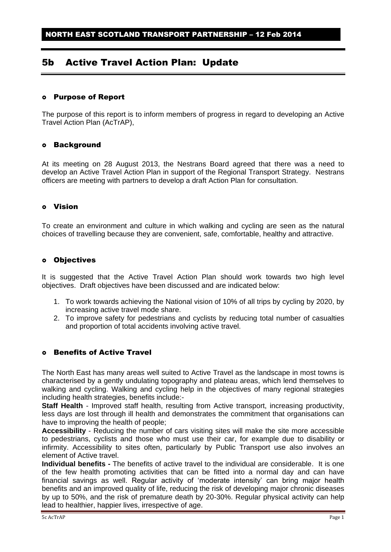# 5b Active Travel Action Plan: Update

## Purpose of Report

The purpose of this report is to inform members of progress in regard to developing an Active Travel Action Plan (AcTrAP),

#### Background

At its meeting on 28 August 2013, the Nestrans Board agreed that there was a need to develop an Active Travel Action Plan in support of the Regional Transport Strategy. Nestrans officers are meeting with partners to develop a draft Action Plan for consultation.

## Vision

To create an environment and culture in which walking and cycling are seen as the natural choices of travelling because they are convenient, safe, comfortable, healthy and attractive.

#### o Objectives

It is suggested that the Active Travel Action Plan should work towards two high level objectives. Draft objectives have been discussed and are indicated below:

- 1. To work towards achieving the National vision of 10% of all trips by cycling by 2020, by increasing active travel mode share.
- 2. To improve safety for pedestrians and cyclists by reducing total number of casualties and proportion of total accidents involving active travel.

# Benefits of Active Travel

The North East has many areas well suited to Active Travel as the landscape in most towns is characterised by a gently undulating topography and plateau areas, which lend themselves to walking and cycling. Walking and cycling help in the objectives of many regional strategies including health strategies, benefits include:-

**Staff Health** - Improved staff health, resulting from Active transport, increasing productivity, less days are lost through ill health and demonstrates the commitment that organisations can have to improving the health of people;

**Accessibility** - Reducing the number of cars visiting sites will make the site more accessible to pedestrians, cyclists and those who must use their car, for example due to disability or infirmity. Accessibility to sites often, particularly by Public Transport use also involves an element of Active travel.

**Individual benefits -** The benefits of active travel to the individual are considerable. It is one of the few health promoting activities that can be fitted into a normal day and can have financial savings as well. Regular activity of 'moderate intensity' can bring major health benefits and an improved quality of life, reducing the risk of developing major chronic diseases by up to 50%, and the risk of premature death by 20-30%. Regular physical activity can help lead to healthier, happier lives, irrespective of age.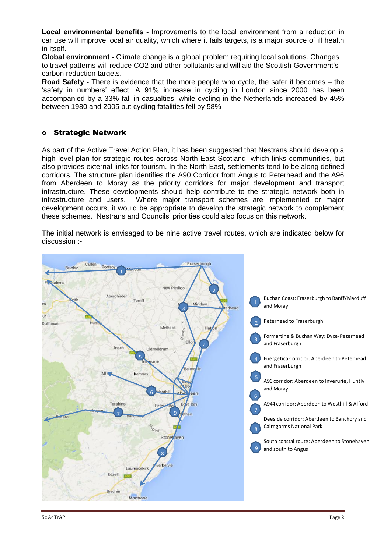**Local environmental benefits -** Improvements to the local environment from a reduction in car use will improve local air quality, which where it fails targets, is a major source of ill health in itself.

**Global environment -** Climate change is a global problem requiring local solutions. Changes to travel patterns will reduce CO2 and other pollutants and will aid the Scottish Government's carbon reduction targets.

**Road Safety -** There is evidence that the more people who cycle, the safer it becomes – the 'safety in numbers' effect. A 91% increase in cycling in London since 2000 has been accompanied by a 33% fall in casualties, while cycling in the Netherlands increased by 45% between 1980 and 2005 but cycling fatalities fell by 58%

## Strategic Network

As part of the Active Travel Action Plan, it has been suggested that Nestrans should develop a high level plan for strategic routes across North East Scotland, which links communities, but also provides external links for tourism. In the North East, settlements tend to be along defined corridors. The structure plan identifies the A90 Corridor from Angus to Peterhead and the A96 from Aberdeen to Moray as the priority corridors for major development and transport infrastructure. These developments should help contribute to the strategic network both in infrastructure and users. Where major transport schemes are implemented or major development occurs, it would be appropriate to develop the strategic network to complement these schemes. Nestrans and Councils' priorities could also focus on this network.

The initial network is envisaged to be nine active travel routes, which are indicated below for discussion :-